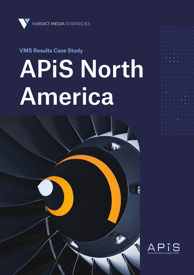

### VMS Results Case Study

# APiS North America

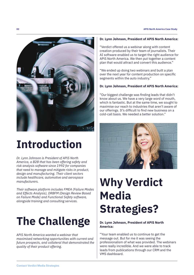

## **Introduction**

*Dr. Lynn Johnson is President of APiS North America, a B2B that has been offering safety and risk analysis software since 1992 for companies that need to manage and mitigate risks in product, design and manufacturing. Their client sectors include healthcare, automotive and aerospace manufacturers.* 

*Their software platform includes FMEA (Failure Modes and Effects Analysis), DRBFM (Design Review Based on Failure Mode) and Functional Safety software, alongside training and consulting services.* 

## **The Challenge**

*APiS North America wanted a webinar that maximised networking opportunities with current and future prospects, and collateral that demonstrated the quality of their product offering.* 

#### **Dr. Lynn Johnson, President of APiS North America:**

"Verdict offered us a webinar along with content creation produced by their team of journalists. Their AI software enabled us to target the right audience for APiS North America. We then put together a content plan that would attract and convert this audience."

"We ended up doing two webinars and built a plan over the next year for content production on specific segments within the auto industry."

#### **Dr. Lynn Johnson, President of APiS North America:**

"Our biggest challenge was finding leads that didn't know about us. We have a very large word of mouth, which is fantastic. But at the same time, we sought to maximise our reach to industries that aren't aware of our offerings. It's difficult to find new business on a cold-call basis. We needed a better solution."



## **Why Verdict Media Strategies?**

#### **Dr. Lynn Johnson, President of APiS North America:**

"Your team enabled us to continue to get the message out. But for me it was seeing the professionalism of what was provided. The webinars were really incredible. And we were able to track leads from publications through our CRM and the VMS dashboard.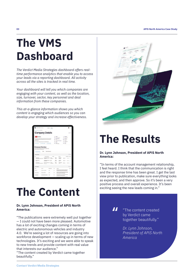## **The VMS Dashboard**

*The Verdict Media Strategies dashboard offers realtime performance analytics that enable you to access your leads via a reporting dashboard. All activity across all the sites is tracked in real time.* 

*Your dashboard will tell you which companies are engaging with your content, as well as the location, size, turnover, sector, key personnel and deal information from these companies.*

*This at-a-glance information shows you which content is engaging which audiences so you can develop your strategy and increase effectiveness.*

| <b>Eventiles messa</b>                                                                                                                                                              | <b>STATE</b>                  | hopping<br>Antoni                 |                              |                                                                                                                      |                                            |                              |  |
|-------------------------------------------------------------------------------------------------------------------------------------------------------------------------------------|-------------------------------|-----------------------------------|------------------------------|----------------------------------------------------------------------------------------------------------------------|--------------------------------------------|------------------------------|--|
|                                                                                                                                                                                     | <b>Company Details</b>        |                                   |                              |                                                                                                                      |                                            | 60.60                        |  |
| <b>The Time</b>                                                                                                                                                                     |                               |                                   | 48,000<br>AB.                | National Products                                                                                                    | <b>BAADTON</b>                             | <b>Rolled Boomup</b>         |  |
| the firsts through to an integral that selected in additional and the worlds counsel large<br>melals and closing participation, barrell BMT producing his case interest. Automobile |                               |                                   |                              | <b>Michael &amp; Minning</b><br><b>Industry</b>                                                                      |                                            | beaution<br>Market Else      |  |
| and and contact:                                                                                                                                                                    |                               |                                   | <b>Located</b>               | <b>Sandary Element Kingdom</b>                                                                                       | <b>Bellufate</b><br><b>Total Year Fire</b> |                              |  |
| Antique at the interest of departs the America's constant \$300 stress links<br>S newcase. C vecks to put<br>(20, 0, 0, 0, 0)                                                       |                               |                                   |                              | <b>RONT</b><br>Temp Exchange                                                                                         |                                            | 620 59.<br><b>Belleville</b> |  |
| teatro, mason datorse cost legal at ofun-                                                                                                                                           |                               |                                   |                              |                                                                                                                      |                                            |                              |  |
| <b>Said Arrest</b><br>Convented Insula                                                                                                                                              | <b>Public</b>                 | <b>Property &amp; Seven House</b> |                              |                                                                                                                      |                                            | 30                           |  |
| $\overline{\phantom{a}}$                                                                                                                                                            | <b><i>EDITORY MONAGER</i></b> |                                   | <b>STARTED</b>               | <b>MARINE</b>                                                                                                        |                                            | <b>State Labor</b>           |  |
| ٠                                                                                                                                                                                   | <b>CARD AND</b>               |                                   |                              |                                                                                                                      |                                            | <b>CALLED</b>                |  |
| <b>Terrent Behavior</b><br>š<br>Sept. 17                                                                                                                                            | meletimete                    |                                   | ses.<br><b>Endan</b>         | <b>Barnett</b>                                                                                                       |                                            | <b>STATISTICS</b>            |  |
| productionful.<br>To present the structure is out in our                                                                                                                            |                               | School 1<br><b>Theatronical</b>   | <b>FREE</b><br><b>Torant</b> | <b>United Knaples</b><br><b>London</b>                                                                               |                                            | <b>MARINE</b>                |  |
| <b>Key ampleures</b>                                                                                                                                                                |                               |                                   |                              |                                                                                                                      |                                            | 60                           |  |
|                                                                                                                                                                                     | <b>AMERICA</b>                | <b>CARD CARD AND A</b>            |                              | <b>CONTRACTOR</b>                                                                                                    |                                            |                              |  |
| <b><i><u>Industrial</u></i></b>                                                                                                                                                     | cap lating                    |                                   | ٠                            | tion of the max has been the United Express can inhale at<br>the company areas became \$500. He also served as this. |                                            |                              |  |
| <b><i><u>Index</u></i></b>                                                                                                                                                          |                               |                                   |                              | McNear Symptom technological Engineer Office<br>of the company stress ture (MDI Mexicosis)                           |                                            |                              |  |

### **The Content**

#### **Dr. Lynn Johnson, President of APiS North America:**

"The publications were extremely well put together — I could not have been more pleased. Automotive has a lot of exciting changes coming in terms of electric and autonomous vehicles and industry 4.0. We're seeing a lot of resources are going into workforce development — scaling up in terms of new technologies. It's exciting and we were able to speak to new trends and provide content with real value that interests our audience."

"The content created by Verdict came together beautifully."



### **The Results**

#### **Dr. Lynn Johnson, President of APiS North America:**

"In terms of the account management relationship, I feel heard. I think that the communication is right and the response time has been great. I get the last view prior to publication, make sure everything looks as expected, and then approve. So it's been a very positive process and overall experience. It's been exciting seeing the new leads coming in."

> "The content created by Verdict came together beautifully." "

> > *Dr. Lynn Johnson, President of APiS North America*